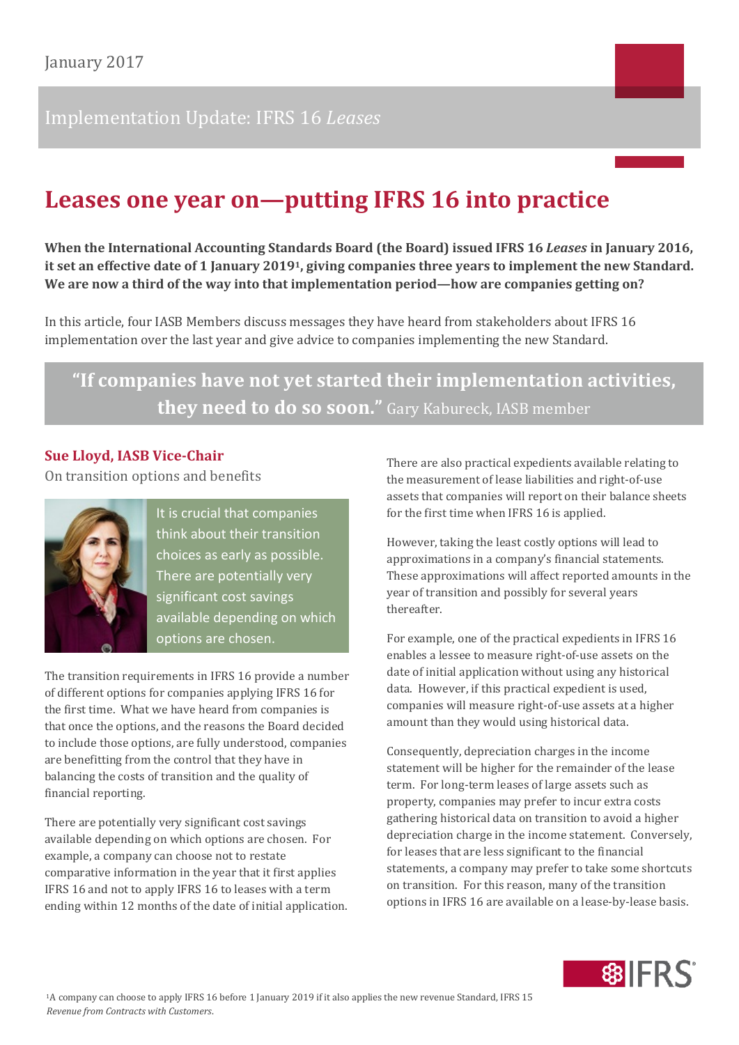# Implementation Update: IFRS 16 *Leases*

# **Leases one year on—putting IFRS 16 into practice**

**When the International Accounting Standards Board (the Board) issued IFRS 16** *Leases* **in January 2016, it set an effective date of 1 January 20191, giving companies three years to implement the new Standard. We are now a third of the way into that implementation period—how are companies getting on?**

In this article, four IASB Members discuss messages they have heard from stakeholders about IFRS 16 implementation over the last year and give advice to companies implementing the new Standard.

**"If "If companies have not yet started their implementation activities, they need to do so soon."** Gary Kabureck, IASB member

#### **Sue Lloyd, IASB Vice-Chair**

On transition options and benefits



It is crucial that companies think about their transition choices as early as possible. There are potentially very significant cost savings available depending on which options are chosen.

The transition requirements in IFRS 16 provide a number of different options for companies applying IFRS 16 for the first time. What we have heard from companies is that once the options, and the reasons the Board decided to include those options, are fully understood, companies are benefitting from the control that they have in balancing the costs of transition and the quality of financial reporting.

There are potentially very significant cost savings available depending on which options are chosen. For example, a company can choose not to restate comparative information in the year that it first applies IFRS 16 and not to apply IFRS 16 to leases with a term ending within 12 months of the date of initial application. There are also practical expedients available relating to the measurement of lease liabilities and right-of-use assets that companies will report on their balance sheets for the first time when IFRS 16 is applied.

However, taking the least costly options will lead to approximations in a company's financial statements. These approximations will affect reported amounts in the year of transition and possibly for several years thereafter.

For example, one of the practical expedients in IFRS 16 enables a lessee to measure right-of-use assets on the date of initial application without using any historical data. However, if this practical expedient is used, companies will measure right-of-use assets at a higher amount than they would using historical data.

Consequently, depreciation charges in the income statement will be higher for the remainder of the lease term. For long-term leases of large assets such as property, companies may prefer to incur extra costs gathering historical data on transition to avoid a higher depreciation charge in the income statement. Conversely, for leases that are less significant to the financial statements, a company may prefer to take some shortcuts on transition. For this reason, many of the transition options in IFRS 16 are available on a lease-by-lease basis.

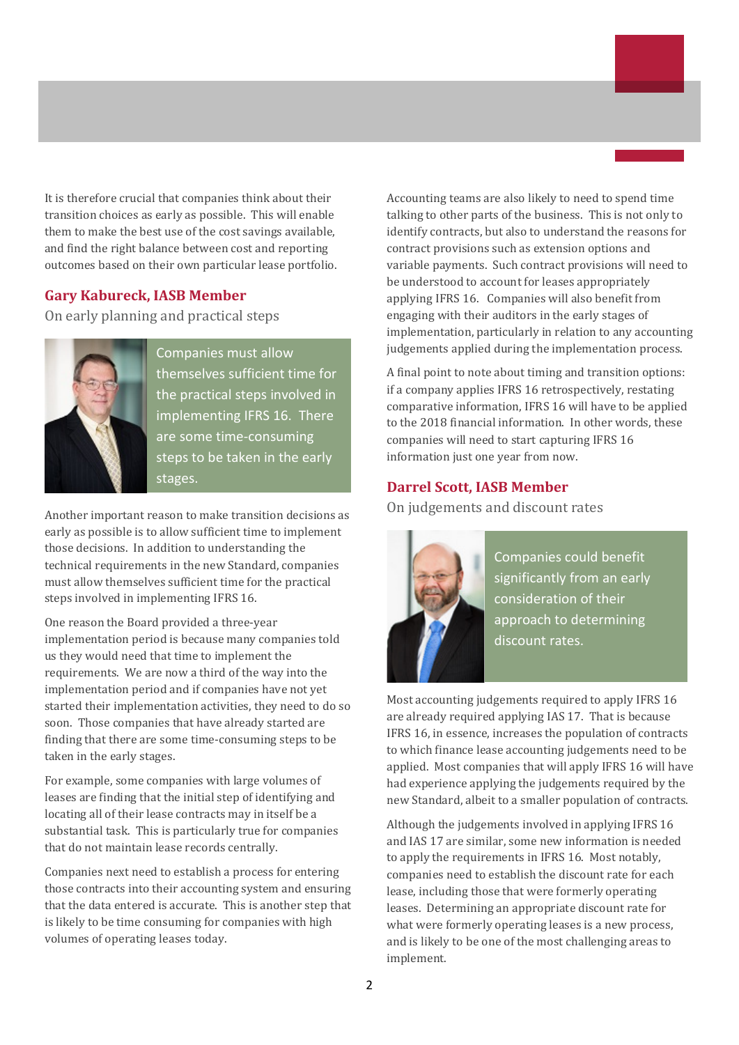It is therefore crucial that companies think about their transition choices as early as possible. This will enable them to make the best use of the cost savings available, and find the right balance between cost and reporting outcomes based on their own particular lease portfolio.

#### **Gary Kabureck, IASB Member**

On early planning and practical steps



Companies must allow themselves sufficient time for the practical steps involved in implementing IFRS 16. There are some time-consuming steps to be taken in the early stages.

Another important reason to make transition decisions as early as possible is to allow sufficient time to implement those decisions. In addition to understanding the technical requirements in the new Standard, companies must allow themselves sufficient time for the practical steps involved in implementing IFRS 16.

One reason the Board provided a three-year implementation period is because many companies told us they would need that time to implement the requirements. We are now a third of the way into the implementation period and if companies have not yet started their implementation activities, they need to do so soon. Those companies that have already started are finding that there are some time-consuming steps to be taken in the early stages.

For example, some companies with large volumes of leases are finding that the initial step of identifying and locating all of their lease contracts may in itself be a substantial task. This is particularly true for companies that do not maintain lease records centrally.

Companies next need to establish a process for entering those contracts into their accounting system and ensuring that the data entered is accurate. This is another step that is likely to be time consuming for companies with high volumes of operating leases today.

Accounting teams are also likely to need to spend time talking to other parts of the business. This is not only to identify contracts, but also to understand the reasons for contract provisions such as extension options and variable payments. Such contract provisions will need to be understood to account for leases appropriately applying IFRS 16. Companies will also benefit from engaging with their auditors in the early stages of implementation, particularly in relation to any accounting judgements applied during the implementation process.

A final point to note about timing and transition options: if a company applies IFRS 16 retrospectively, restating comparative information, IFRS 16 will have to be applied to the 2018 financial information. In other words, these companies will need to start capturing IFRS 16 information just one year from now.

#### **Darrel Scott, IASB Member**

On judgements and discount rates



Companies could benefit significantly from an early consideration of their approach to determining discount rates.

Most accounting judgements required to apply IFRS 16 are already required applying IAS 17. That is because IFRS 16, in essence, increases the population of contracts to which finance lease accounting judgements need to be applied. Most companies that will apply IFRS 16 will have had experience applying the judgements required by the new Standard, albeit to a smaller population of contracts.

Although the judgements involved in applying IFRS 16 and IAS 17 are similar, some new information is needed to apply the requirements in IFRS 16. Most notably, companies need to establish the discount rate for each lease, including those that were formerly operating leases. Determining an appropriate discount rate for what were formerly operating leases is a new process, and is likely to be one of the most challenging areas to implement.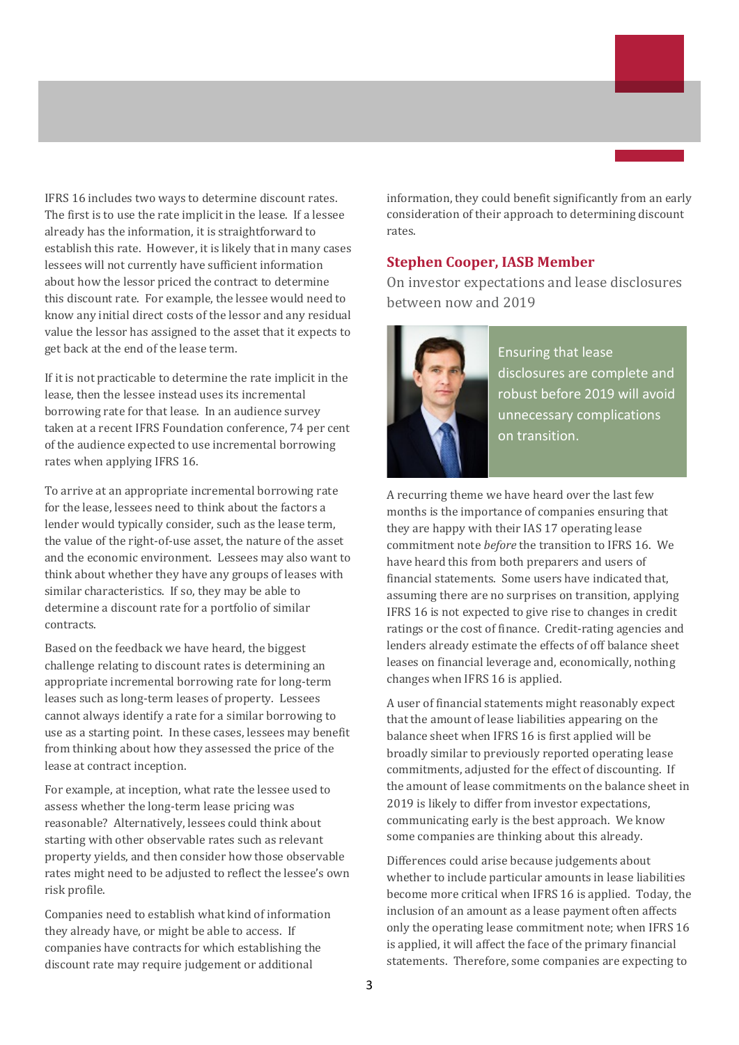IFRS 16 includes two ways to determine discount rates. The first is to use the rate implicit in the lease. If a lessee already has the information, it is straightforward to establish this rate. However, it is likely that in many cases lessees will not currently have sufficient information about how the lessor priced the contract to determine this discount rate. For example, the lessee would need to know any initial direct costs of the lessor and any residual value the lessor has assigned to the asset that it expects to get back at the end of the lease term.

If it is not practicable to determine the rate implicit in the lease, then the lessee instead uses its incremental borrowing rate for that lease. In an audience survey taken at a recent IFRS Foundation conference, 74 per cent of the audience expected to use incremental borrowing rates when applying IFRS 16.

To arrive at an appropriate incremental borrowing rate for the lease, lessees need to think about the factors a lender would typically consider, such as the lease term, the value of the right-of-use asset, the nature of the asset and the economic environment. Lessees may also want to think about whether they have any groups of leases with similar characteristics. If so, they may be able to determine a discount rate for a portfolio of similar contracts.

Based on the feedback we have heard, the biggest challenge relating to discount rates is determining an appropriate incremental borrowing rate for long-term leases such as long-term leases of property. Lessees cannot always identify a rate for a similar borrowing to use as a starting point. In these cases, lessees may benefit from thinking about how they assessed the price of the lease at contract inception.

For example, at inception, what rate the lessee used to assess whether the long-term lease pricing was reasonable? Alternatively, lessees could think about starting with other observable rates such as relevant property yields, and then consider how those observable rates might need to be adjusted to reflect the lessee's own risk profile.

Companies need to establish what kind of information they already have, or might be able to access. If companies have contracts for which establishing the discount rate may require judgement or additional

information, they could benefit significantly from an early consideration of their approach to determining discount rates.

#### **Stephen Cooper, IASB Member**

On investor expectations and lease disclosures between now and 2019



Ensuring that lease disclosures are complete and robust before 2019 will avoid unnecessary complications on transition.

A recurring theme we have heard over the last few months is the importance of companies ensuring that they are happy with their IAS 17 operating lease commitment note *before* the transition to IFRS 16. We have heard this from both preparers and users of financial statements. Some users have indicated that, assuming there are no surprises on transition, applying IFRS 16 is not expected to give rise to changes in credit ratings or the cost of finance. Credit-rating agencies and lenders already estimate the effects of off balance sheet leases on financial leverage and, economically, nothing changes when IFRS 16 is applied.

A user of financial statements might reasonably expect that the amount of lease liabilities appearing on the balance sheet when IFRS 16 is first applied will be broadly similar to previously reported operating lease commitments, adjusted for the effect of discounting. If the amount of lease commitments on the balance sheet in 2019 is likely to differ from investor expectations, communicating early is the best approach. We know some companies are thinking about this already.

Differences could arise because judgements about whether to include particular amounts in lease liabilities become more critical when IFRS 16 is applied. Today, the inclusion of an amount as a lease payment often affects only the operating lease commitment note; when IFRS 16 is applied, it will affect the face of the primary financial statements. Therefore, some companies are expecting to